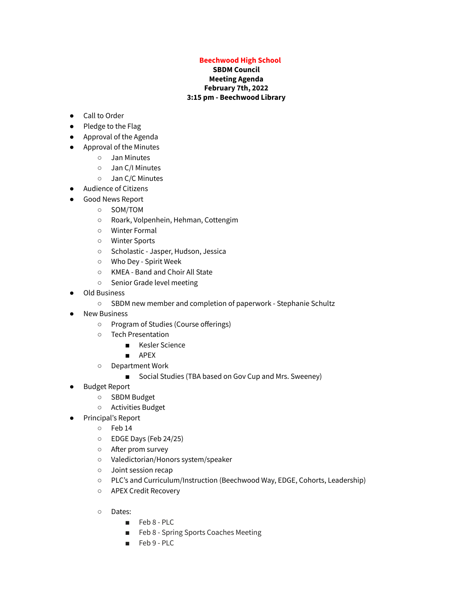## **Beechwood High School**

## **SBDM Council Meeting Agenda February 7th, 2022 3:15 pm - Beechwood Library**

- Call to Order
- Pledge to the Flag
- Approval of the Agenda
- Approval of the Minutes
	- Jan Minutes
	- Jan C/I Minutes
	- Jan C/C Minutes
- Audience of Citizens
- Good News Report
	- SOM/TOM
	- Roark, Volpenhein, Hehman, Cottengim
	- Winter Formal
	- Winter Sports
	- Scholastic Jasper, Hudson, Jessica
	- Who Dey Spirit Week
	- KMEA Band and Choir All State
	- Senior Grade level meeting
- Old Business
	- SBDM new member and completion of paperwork Stephanie Schultz
- **New Business** 
	- Program of Studies (Course offerings)
	- Tech Presentation
		- Kesler Science
		- APEX
	- Department Work
		- Social Studies (TBA based on Gov Cup and Mrs. Sweeney)
- **Budget Report** 
	- SBDM Budget
	- Activities Budget
- Principal's Report
	- Feb 14
	- EDGE Days (Feb 24/25)
	- After prom survey
	- Valedictorian/Honors system/speaker
	- Joint session recap
	- PLC's and Curriculum/Instruction (Beechwood Way, EDGE, Cohorts, Leadership)
	- APEX Credit Recovery
	- Dates:
		- Feb 8 PLC
		- Feb 8 Spring Sports Coaches Meeting
		- Feb 9 PLC